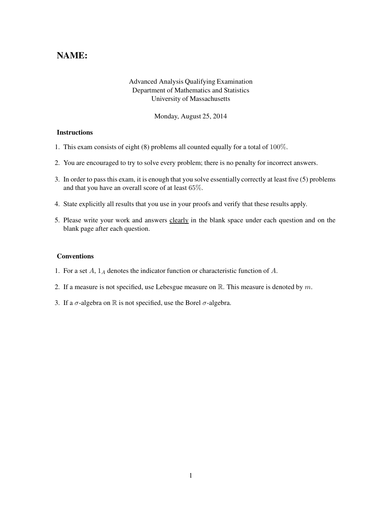## NAME:

## Advanced Analysis Qualifying Examination Department of Mathematics and Statistics University of Massachusetts

Monday, August 25, 2014

## **Instructions**

- 1. This exam consists of eight (8) problems all counted equally for a total of 100%.
- 2. You are encouraged to try to solve every problem; there is no penalty for incorrect answers.
- 3. In order to pass this exam, it is enough that you solve essentially correctly at least five (5) problems and that you have an overall score of at least 65%.
- 4. State explicitly all results that you use in your proofs and verify that these results apply.
- 5. Please write your work and answers clearly in the blank space under each question and on the blank page after each question.

## Conventions

- 1. For a set  $A$ ,  $1_A$  denotes the indicator function or characteristic function of  $A$ .
- 2. If a measure is not specified, use Lebesgue measure on  $\mathbb{R}$ . This measure is denoted by m.
- 3. If a  $\sigma$ -algebra on R is not specified, use the Borel  $\sigma$ -algebra.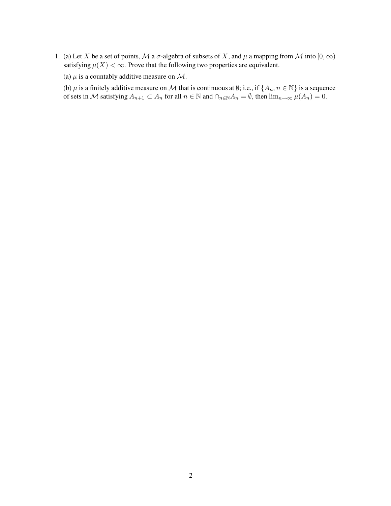1. (a) Let X be a set of points, M a  $\sigma$ -algebra of subsets of X, and  $\mu$  a mapping from M into  $[0, \infty)$ satisfying  $\mu(X) < \infty$ . Prove that the following two properties are equivalent.

(a)  $\mu$  is a countably additive measure on M.

(b)  $\mu$  is a finitely additive measure on M that is continuous at  $\emptyset$ ; i.e., if  $\{A_n, n \in \mathbb{N}\}\$  is a sequence of sets in M satisfying  $A_{n+1} \subset A_n$  for all  $n \in \mathbb{N}$  and  $\cap_{n \in \mathbb{N}} A_n = \emptyset$ , then  $\lim_{n \to \infty} \mu(A_n) = 0$ .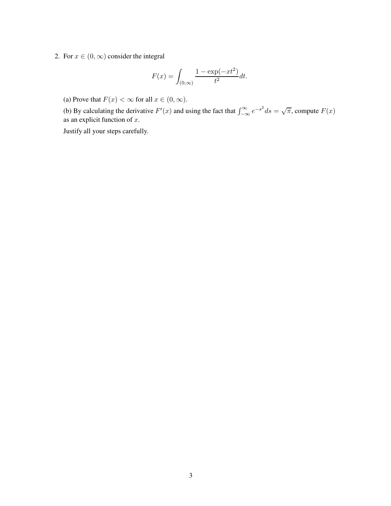2. For  $x \in (0, \infty)$  consider the integral

$$
F(x) = \int_{(0,\infty)} \frac{1 - \exp(-xt^2)}{t^2} dt.
$$

(a) Prove that  $F(x) < \infty$  for all  $x \in (0, \infty)$ .

(b) By calculating the derivative  $F'(x)$  and using the fact that  $\int_{-\infty}^{\infty} e^{-s^2} ds = \sqrt{\pi}$ , compute  $F(x)$ as an explicit function of  $x$ .

Justify all your steps carefully.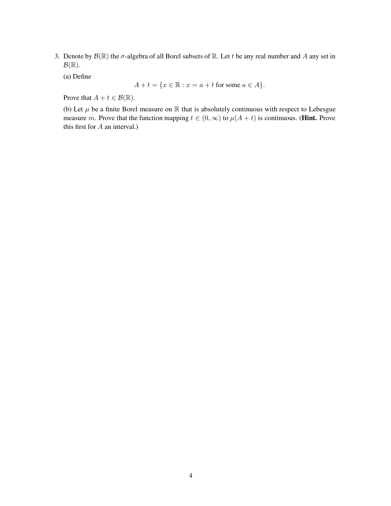- 3. Denote by  $\mathcal{B}(\mathbb{R})$  the  $\sigma$ -algebra of all Borel subsets of  $\mathbb{R}$ . Let t be any real number and A any set in  $\mathcal{B}(\mathbb{R})$ .
	- (a) Define

$$
A + t = \{x \in \mathbb{R} : x = a + t \text{ for some } a \in A\}.
$$

Prove that  $A + t \in \mathcal{B}(\mathbb{R})$ .

(b) Let  $\mu$  be a finite Borel measure on  $\mathbb R$  that is absolutely continuous with respect to Lebesgue measure m. Prove that the function mapping  $t \in (0, \infty)$  to  $\mu(A + t)$  is continuous. (Hint. Prove this first for A an interval.)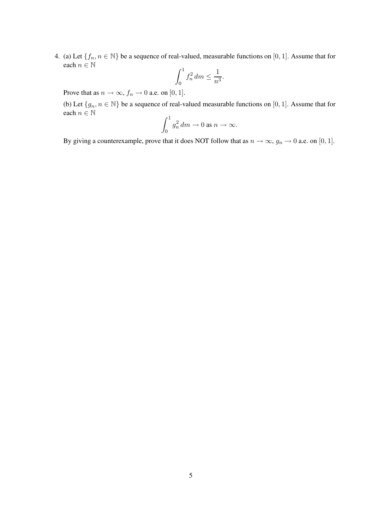4. (a) Let  $\{f_n, n \in \mathbb{N}\}\$  be a sequence of real-valued, measurable functions on [0, 1]. Assume that for each  $n \in \mathbb{N}$ 

$$
\int_0^1 f_n^2 dm \le \frac{1}{n^3}.
$$

Prove that as  $n \to \infty$ ,  $f_n \to 0$  a.e. on [0, 1].

(b) Let  $\{g_n, n \in \mathbb{N}\}$  be a sequence of real-valued measurable functions on [0, 1]. Assume that for each  $n \in \mathbb{N}$ 

$$
\int_0^1 g_n^2 \, dm \to 0 \text{ as } n \to \infty.
$$

By giving a counterexample, prove that it does NOT follow that as  $n \to \infty$ ,  $g_n \to 0$  a.e. on [0, 1].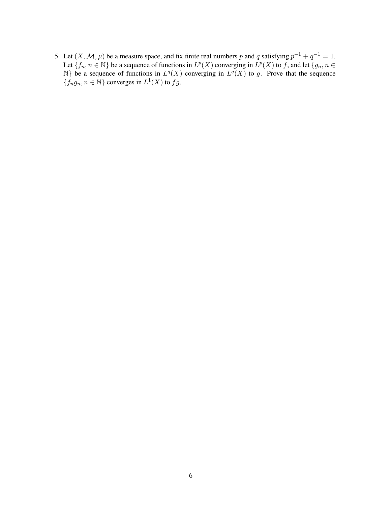5. Let  $(X, \mathcal{M}, \mu)$  be a measure space, and fix finite real numbers p and q satisfying  $p^{-1} + q^{-1} = 1$ . Let  $\{f_n, n \in \mathbb{N}\}$  be a sequence of functions in  $L^p(X)$  converging in  $L^p(X)$  to f, and let  $\{g_n, n \in \mathbb{N}\}$  $\mathbb{N}$ } be a sequence of functions in  $L^q(X)$  converging in  $L^q(X)$  to g. Prove that the sequence  $\{f_ng_n, n \in \mathbb{N}\}$  converges in  $L^1(X)$  to  $fg$ .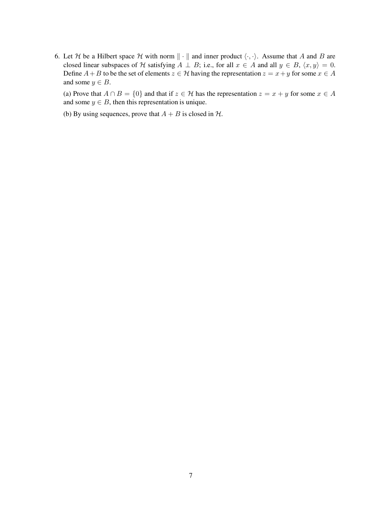6. Let H be a Hilbert space H with norm  $\|\cdot\|$  and inner product  $\langle \cdot, \cdot \rangle$ . Assume that A and B are closed linear subspaces of H satisfying  $A \perp B$ ; i.e., for all  $x \in A$  and all  $y \in B$ ,  $\langle x, y \rangle = 0$ . Define  $A + B$  to be the set of elements  $z \in \mathcal{H}$  having the representation  $z = x + y$  for some  $x \in A$ and some  $y \in B$ .

(a) Prove that  $A \cap B = \{0\}$  and that if  $z \in \mathcal{H}$  has the representation  $z = x + y$  for some  $x \in A$ and some  $y \in B$ , then this representation is unique.

(b) By using sequences, prove that  $A + B$  is closed in  $H$ .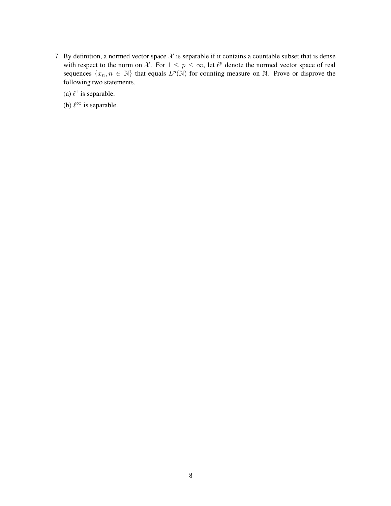- 7. By definition, a normed vector space  $X$  is separable if it contains a countable subset that is dense with respect to the norm on X. For  $1 \leq p \leq \infty$ , let  $\ell^p$  denote the normed vector space of real sequences  $\{x_n, n \in \mathbb{N}\}\$  that equals  $L^p(\mathbb{N})$  for counting measure on  $\mathbb{N}$ . Prove or disprove the following two statements.
	- (a)  $\ell^1$  is separable.
	- (b)  $\ell^{\infty}$  is separable.